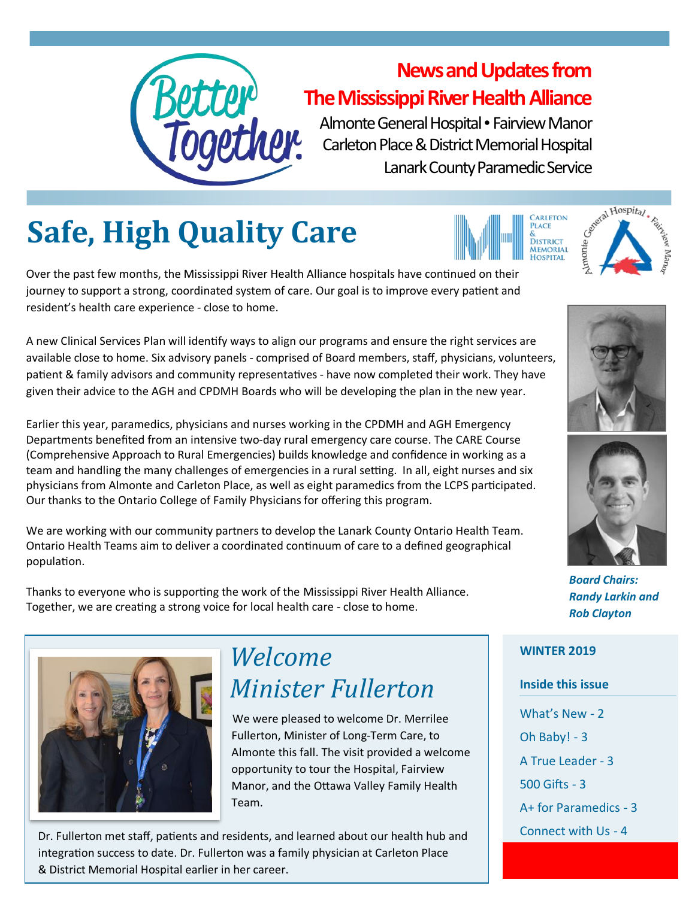

#### **News and Updates from The Mississippi River Health Alliance**

Almonte General Hospital • Fairview Manor Carleton Place & District Memorial Hospital Lanark County Paramedic Service

## **Safe, High Quality Care**

Over the past few months, the Mississippi River Health Alliance hospitals have continued on their journey to support a strong, coordinated system of care. Our goal is to improve every patient and resident's health care experience - close to home.

A new Clinical Services Plan will identify ways to align our programs and ensure the right services are available close to home. Six advisory panels - comprised of Board members, staff, physicians, volunteers, patient & family advisors and community representatives - have now completed their work. They have given their advice to the AGH and CPDMH Boards who will be developing the plan in the new year.

Earlier this year, paramedics, physicians and nurses working in the CPDMH and AGH Emergency Departments benefited from an intensive two-day rural emergency care course. The CARE Course (Comprehensive Approach to Rural Emergencies) builds knowledge and confidence in working as a team and handling the many challenges of emergencies in a rural setting. In all, eight nurses and six physicians from Almonte and Carleton Place, as well as eight paramedics from the LCPS participated. Our thanks to the Ontario College of Family Physicians for offering this program.

We are working with our community partners to develop the Lanark County Ontario Health Team. Ontario Health Teams aim to deliver a coordinated continuum of care to a defined geographical population.

Thanks to everyone who is supporting the work of the Mississippi River Health Alliance. Together, we are creating a strong voice for local health care - close to home.



#### *Welcome Minister Fullerton*

 We were pleased to welcome Dr. Merrilee Fullerton, Minister of Long-Term Care, to Almonte this fall. The visit provided a welcome opportunity to tour the Hospital, Fairview Manor, and the Ottawa Valley Family Health Team.

Dr. Fullerton met staff, patients and residents, and learned about our health hub and integration success to date. Dr. Fullerton was a family physician at Carleton Place & District Memorial Hospital earlier in her career.









*Board Chairs: Randy Larkin and Rob Clayton* 

#### **WINTER 2019**

#### **Inside this issue**

What's New - 2 Oh Baby! - 3 A True Leader - 3 500 Gifts - 3 A+ for Paramedics - 3 Connect with Us - 4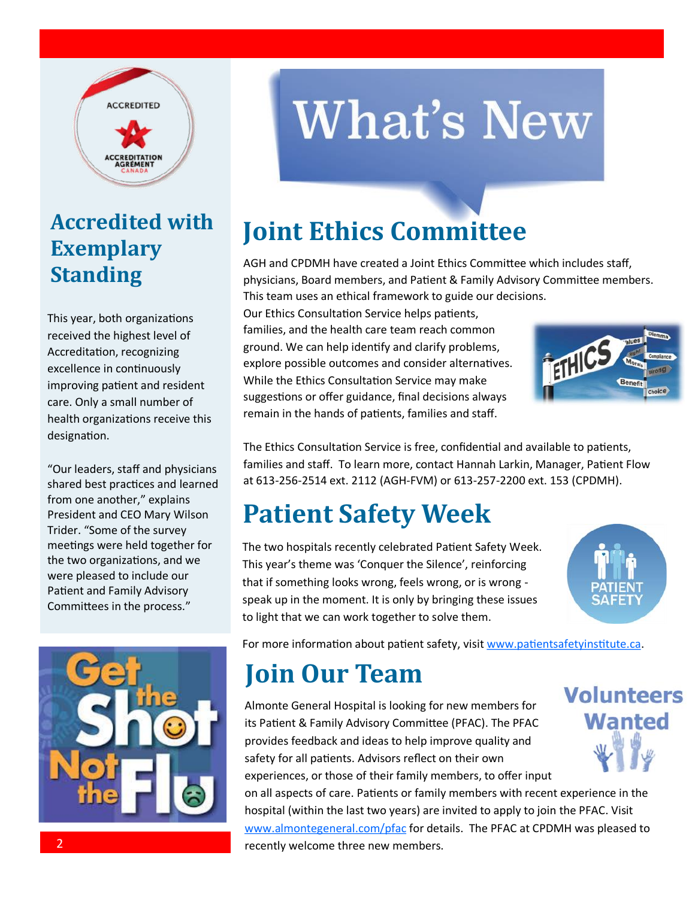

#### **Accredited with Exemplary Standing**

This year, both organizations received the highest level of Accreditation, recognizing excellence in continuously improving patient and resident care. Only a small number of health organizations receive this designation.

"Our leaders, staff and physicians shared best practices and learned from one another," explains President and CEO Mary Wilson Trider. "Some of the survey meetings were held together for the two organizations, and we were pleased to include our Patient and Family Advisory Committees in the process."



# **What's New**

## **Joint Ethics Committee**

AGH and CPDMH have created a Joint Ethics Committee which includes staff, physicians, Board members, and Patient & Family Advisory Committee members. This team uses an ethical framework to guide our decisions.

Our Ethics Consultation Service helps patients, families, and the health care team reach common ground. We can help identify and clarify problems, explore possible outcomes and consider alternatives. While the Ethics Consultation Service may make suggestions or offer guidance, final decisions always remain in the hands of patients, families and staff.



The Ethics Consultation Service is free, confidential and available to patients, families and staff. To learn more, contact Hannah Larkin, Manager, Patient Flow at 613-256-2514 ext. 2112 (AGH-FVM) or 613-257-2200 ext. 153 (CPDMH).

## **Patient Safety Week**

The two hospitals recently celebrated Patient Safety Week. This year's theme was 'Conquer the Silence', reinforcing that if something looks wrong, feels wrong, or is wrong speak up in the moment. It is only by bringing these issues to light that we can work together to solve them.



For more information about patient safety, visit [www.patientsafetyinstitute.ca.](http://www.patientsafetyinstitute.ca)

## **Join Our Team**

Almonte General Hospital is looking for new members for its Patient & Family Advisory Committee (PFAC). The PFAC provides feedback and ideas to help improve quality and safety for all patients. Advisors reflect on their own experiences, or those of their family members, to offer input on all aspects of care. Patients or family members with recent experience in the hospital (within the last two years) are invited to apply to join the PFAC. Visit [www.almontegeneral.com/pfac](http://www.almontegeneral.com/pfac) for details. The PFAC at CPDMH was pleased to recently welcome three new members.

**Volunteers Wanted**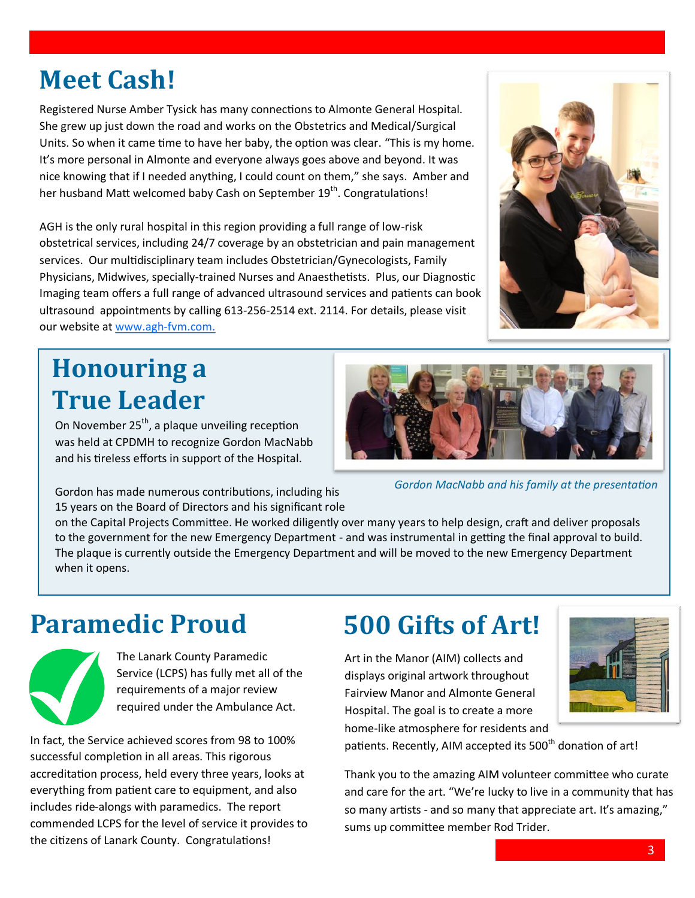3

#### **Meet Cash!**

Registered Nurse Amber Tysick has many connections to Almonte General Hospital. She grew up just down the road and works on the Obstetrics and Medical/Surgical Units. So when it came time to have her baby, the option was clear. "This is my home. It's more personal in Almonte and everyone always goes above and beyond. It was nice knowing that if I needed anything, I could count on them," she says. Amber and her husband Matt welcomed baby Cash on September 19<sup>th</sup>. Congratulations!

AGH is the only rural hospital in this region providing a full range of low-risk obstetrical services, including 24/7 coverage by an obstetrician and pain management services. Our multidisciplinary team includes Obstetrician/Gynecologists, Family Physicians, Midwives, specially-trained Nurses and Anaesthetists. Plus, our Diagnostic Imaging team offers a full range of advanced ultrasound services and patients can book ultrasound appointments by calling 613-256-2514 ext. 2114. For details, please visit our website at [www.agh](http://www.agh-fvm.com.)-fvm.com.

#### **Honouring a True Leader**

On November  $25<sup>th</sup>$ , a plaque unveiling reception was held at CPDMH to recognize Gordon MacNabb and his tireless efforts in support of the Hospital.

*Gordon MacNabb and his family at the presentation*

Gordon has made numerous contributions, including his 15 years on the Board of Directors and his significant role

on the Capital Projects Committee. He worked diligently over many years to help design, craft and deliver proposals to the government for the new Emergency Department - and was instrumental in getting the final approval to build. The plaque is currently outside the Emergency Department and will be moved to the new Emergency Department when it opens.

#### **Paramedic Proud**

The Lanark County Paramedic Service (LCPS) has fully met all of the requirements of a major review required under the Ambulance Act.

In fact, the Service achieved scores from 98 to 100% successful completion in all areas. This rigorous accreditation process, held every three years, looks at everything from patient care to equipment, and also includes ride-alongs with paramedics. The report commended LCPS for the level of service it provides to the citizens of Lanark County. Congratulations!

## **500 Gifts of Art!**

Art in the Manor (AIM) collects and displays original artwork throughout Fairview Manor and Almonte General Hospital. The goal is to create a more home-like atmosphere for residents and

patients. Recently, AIM accepted its 500<sup>th</sup> donation of art!

Thank you to the amazing AIM volunteer committee who curate and care for the art. "We're lucky to live in a community that has so many artists - and so many that appreciate art. It's amazing," sums up committee member Rod Trider.